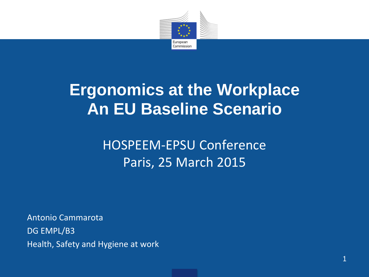

#### **Ergonomics at the Workplace An EU Baseline Scenario**

#### HOSPEEM-EPSU Conference Paris, 25 March 2015

Antonio Cammarota DG EMPL/B3 Health, Safety and Hygiene at work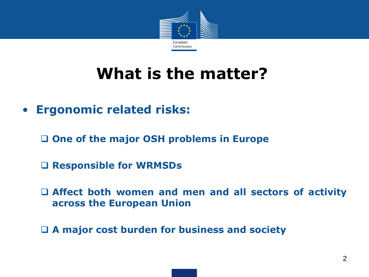

- **Ergonomic related risks:**
	- **One of the major OSH problems in Europe**
	- **Responsible for WRMSDs**
	- **Affect both women and men and all sectors of activity across the European Union**
	- **A major cost burden for business and society**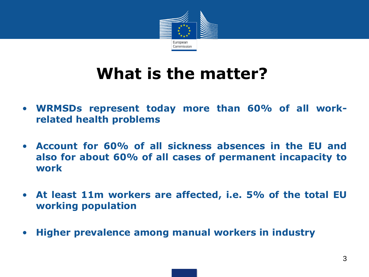

- **WRMSDs represent today more than 60% of all workrelated health problems**
- **Account for 60% of all sickness absences in the EU and also for about 60% of all cases of permanent incapacity to work**
- **At least 11m workers are affected, i.e. 5% of the total EU working population**
- **Higher prevalence among manual workers in industry**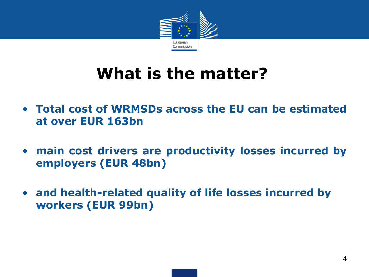

- **Total cost of WRMSDs across the EU can be estimated at over EUR 163bn**
- **main cost drivers are productivity losses incurred by employers (EUR 48bn)**
- **and health-related quality of life losses incurred by workers (EUR 99bn)**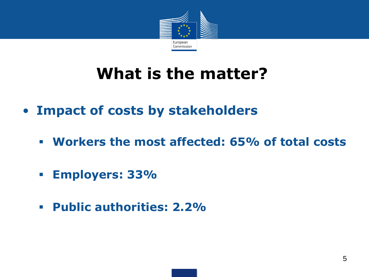

- **Impact of costs by stakeholders**
	- **Workers the most affected: 65% of total costs**
	- **Employers: 33%**
	- **Public authorities: 2.2%**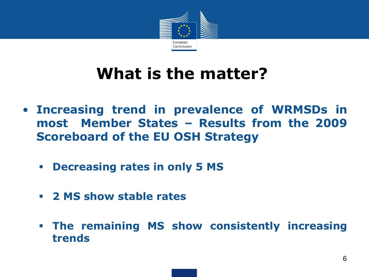

- **Increasing trend in prevalence of WRMSDs in most Member States – Results from the 2009 Scoreboard of the EU OSH Strategy**
	- **Decreasing rates in only 5 MS**
	- **2 MS show stable rates**
	- **The remaining MS show consistently increasing trends**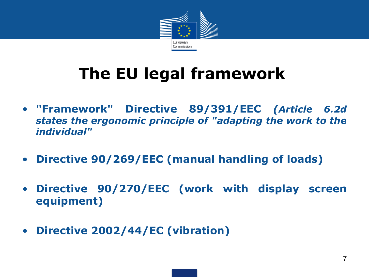

# **The EU legal framework**

- **"Framework" Directive 89/391/EEC** *(Article 6.2d states the ergonomic principle of "adapting the work to the individual"*
- **Directive 90/269/EEC (manual handling of loads)**
- **Directive 90/270/EEC (work with display screen equipment)**
- **Directive 2002/44/EC (vibration)**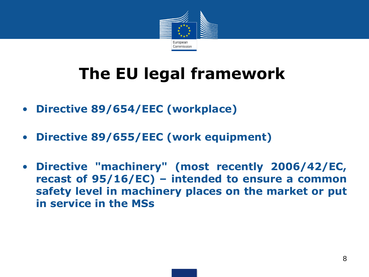

# **The EU legal framework**

- **Directive 89/654/EEC (workplace)**
- **Directive 89/655/EEC (work equipment)**
- **Directive "machinery" (most recently 2006/42/EC, recast of 95/16/EC) – intended to ensure a common safety level in machinery places on the market or put in service in the MSs**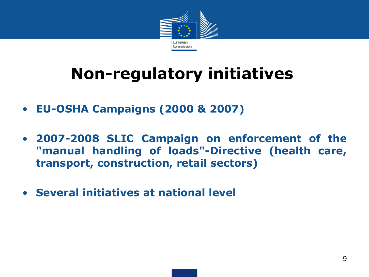

### **Non-regulatory initiatives**

- **EU-OSHA Campaigns (2000 & 2007)**
- **2007-2008 SLIC Campaign on enforcement of the "manual handling of loads"-Directive (health care, transport, construction, retail sectors)**
- **Several initiatives at national level**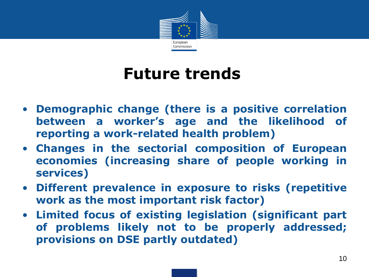

#### **Future trends**

- **Demographic change (there is a positive correlation between a worker's age and the likelihood of reporting a work-related health problem)**
- **Changes in the sectorial composition of European economies (increasing share of people working in services)**
- **Different prevalence in exposure to risks (repetitive work as the most important risk factor)**
- **Limited focus of existing legislation (significant part of problems likely not to be properly addressed; provisions on DSE partly outdated)**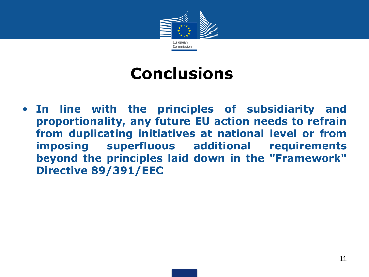

#### **Conclusions**

• **In line with the principles of subsidiarity and proportionality, any future EU action needs to refrain from duplicating initiatives at national level or from imposing superfluous additional requirements beyond the principles laid down in the "Framework" Directive 89/391/EEC**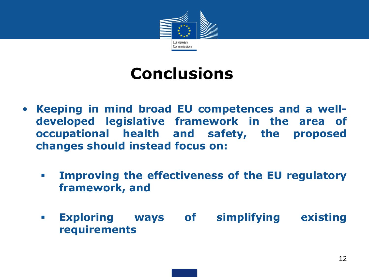

#### **Conclusions**

- **Keeping in mind broad EU competences and a welldeveloped legislative framework in the area of occupational health and safety, the proposed changes should instead focus on:**
	- **Improving the effectiveness of the EU regulatory framework, and**
	- **Exploring ways of simplifying existing requirements**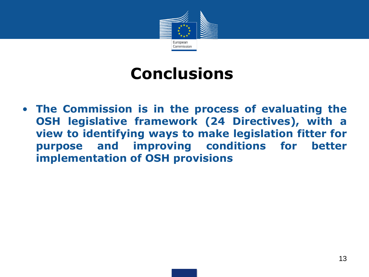

#### **Conclusions**

• **The Commission is in the process of evaluating the OSH legislative framework (24 Directives), with a view to identifying ways to make legislation fitter for purpose and improving conditions for better implementation of OSH provisions**